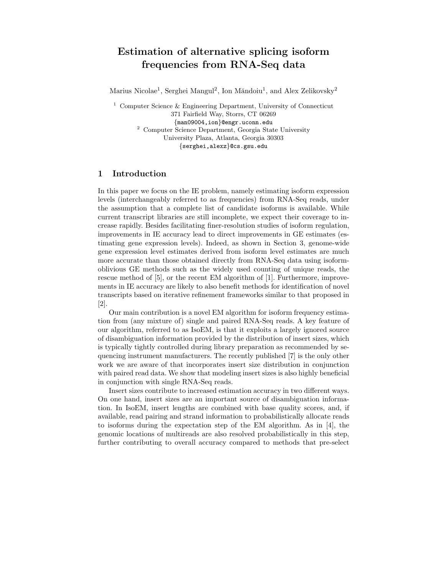# Estimation of alternative splicing isoform frequencies from RNA-Seq data

Marius Nicolae<sup>1</sup>, Serghei Mangul<sup>2</sup>, Ion Măndoiu<sup>1</sup>, and Alex Zelikovsky<sup>2</sup>

<sup>1</sup> Computer Science & Engineering Department, University of Connecticut 371 Fairfield Way, Storrs, CT 06269 {man09004,ion}@engr.uconn.edu <sup>2</sup> Computer Science Department, Georgia State University University Plaza, Atlanta, Georgia 30303 {serghei,alexz}@cs.gsu.edu

# 1 Introduction

In this paper we focus on the IE problem, namely estimating isoform expression levels (interchangeably referred to as frequencies) from RNA-Seq reads, under the assumption that a complete list of candidate isoforms is available. While current transcript libraries are still incomplete, we expect their coverage to increase rapidly. Besides facilitating finer-resolution studies of isoform regulation, improvements in IE accuracy lead to direct improvements in GE estimates (estimating gene expression levels). Indeed, as shown in Section 3, genome-wide gene expression level estimates derived from isoform level estimates are much more accurate than those obtained directly from RNA-Seq data using isoformoblivious GE methods such as the widely used counting of unique reads, the rescue method of [5], or the recent EM algorithm of [1]. Furthermore, improvements in IE accuracy are likely to also benefit methods for identification of novel transcripts based on iterative refinement frameworks similar to that proposed in [2].

Our main contribution is a novel EM algorithm for isoform frequency estimation from (any mixture of) single and paired RNA-Seq reads. A key feature of our algorithm, referred to as IsoEM, is that it exploits a largely ignored source of disambiguation information provided by the distribution of insert sizes, which is typically tightly controlled during library preparation as recommended by sequencing instrument manufacturers. The recently published [7] is the only other work we are aware of that incorporates insert size distribution in conjunction with paired read data. We show that modeling insert sizes is also highly beneficial in conjunction with single RNA-Seq reads.

Insert sizes contribute to increased estimation accuracy in two different ways. On one hand, insert sizes are an important source of disambiguation information. In IsoEM, insert lengths are combined with base quality scores, and, if available, read pairing and strand information to probabilistically allocate reads to isoforms during the expectation step of the EM algorithm. As in [4], the genomic locations of multireads are also resolved probabilistically in this step, further contributing to overall accuracy compared to methods that pre-select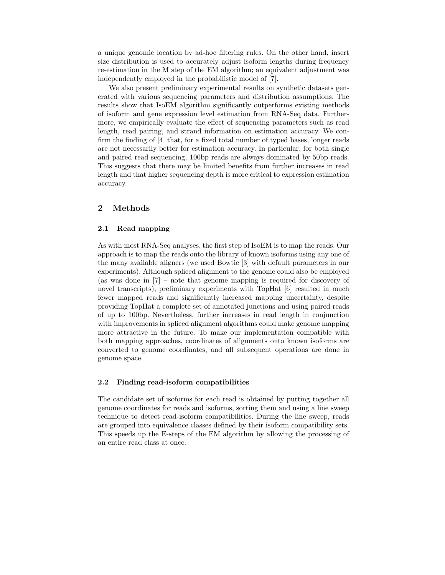a unique genomic location by ad-hoc filtering rules. On the other hand, insert size distribution is used to accurately adjust isoform lengths during frequency re-estimation in the M step of the EM algorithm; an equivalent adjustment was independently employed in the probabilistic model of [7].

We also present preliminary experimental results on synthetic datasets generated with various sequencing parameters and distribution assumptions. The results show that IsoEM algorithm significantly outperforms existing methods of isoform and gene expression level estimation from RNA-Seq data. Furthermore, we empirically evaluate the effect of sequencing parameters such as read length, read pairing, and strand information on estimation accuracy. We confirm the finding of [4] that, for a fixed total number of typed bases, longer reads are not necessarily better for estimation accuracy. In particular, for both single and paired read sequencing, 100bp reads are always dominated by 50bp reads. This suggests that there may be limited benefits from further increases in read length and that higher sequencing depth is more critical to expression estimation accuracy.

# 2 Methods

#### 2.1 Read mapping

As with most RNA-Seq analyses, the first step of IsoEM is to map the reads. Our approach is to map the reads onto the library of known isoforms using any one of the many available aligners (we used Bowtie [3] with default parameters in our experiments). Although spliced alignment to the genome could also be employed (as was done in [7] – note that genome mapping is required for discovery of novel transcripts), preliminary experiments with TopHat [6] resulted in much fewer mapped reads and significantly increased mapping uncertainty, despite providing TopHat a complete set of annotated junctions and using paired reads of up to 100bp. Nevertheless, further increases in read length in conjunction with improvements in spliced alignment algorithms could make genome mapping more attractive in the future. To make our implementation compatible with both mapping approaches, coordinates of alignments onto known isoforms are converted to genome coordinates, and all subsequent operations are done in genome space.

#### 2.2 Finding read-isoform compatibilities

The candidate set of isoforms for each read is obtained by putting together all genome coordinates for reads and isoforms, sorting them and using a line sweep technique to detect read-isoform compatibilities. During the line sweep, reads are grouped into equivalence classes defined by their isoform compatibility sets. This speeds up the E-steps of the EM algorithm by allowing the processing of an entire read class at once.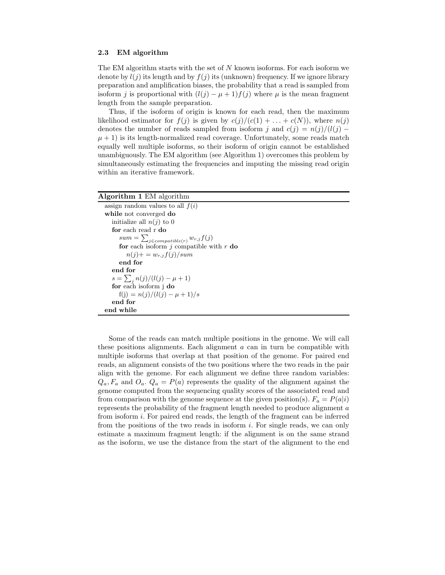#### 2.3 EM algorithm

The EM algorithm starts with the set of  $N$  known isoforms. For each isoform we denote by  $l(j)$  its length and by  $f(j)$  its (unknown) frequency. If we ignore library preparation and amplification biases, the probability that a read is sampled from isoform j is proportional with  $(l(j) - \mu + 1)f(j)$  where  $\mu$  is the mean fragment length from the sample preparation.

Thus, if the isoform of origin is known for each read, then the maximum likelihood estimator for  $f(j)$  is given by  $c(j)/(c(1) + ... + c(N))$ , where  $n(j)$ denotes the number of reads sampled from isoform j and  $c(j) = n(j)/(l(j))$  $\mu$  + 1) is its length-normalized read coverage. Unfortunately, some reads match equally well multiple isoforms, so their isoform of origin cannot be established unambiguously. The EM algorithm (see Algorithm 1) overcomes this problem by simultaneously estimating the frequencies and imputing the missing read origin within an iterative framework.

| Algorithm 1 EM algorithm |  |  |  |
|--------------------------|--|--|--|
|--------------------------|--|--|--|

assign random values to all  $f(i)$ while not converged do initialize all  $n(j)$  to 0 for each read r do  $sum = \sum_{j \in compatible(r)} w_{r,j} f(j)$ for each isoform  $j$  compatible with  $r$  do  $n(j)$  + =  $w_{r,j} f(j)/sum$ end for end for  $s = \sum_j n(j)/(l(j) - \mu + 1)$ for each isoform j do  $f(j) = n(j)/(l(j) - \mu + 1)/s$ end for end while

Some of the reads can match multiple positions in the genome. We will call these positions alignments. Each alignment  $a$  can in turn be compatible with multiple isoforms that overlap at that position of the genome. For paired end reads, an alignment consists of the two positions where the two reads in the pair align with the genome. For each alignment we define three random variables:  $Q_a, F_a$  and  $O_a$ .  $Q_a = P(a)$  represents the quality of the alignment against the genome computed from the sequencing quality scores of the associated read and from comparison with the genome sequence at the given position(s).  $F_a = P(a|i)$ represents the probability of the fragment length needed to produce alignment a from isoform i. For paired end reads, the length of the fragment can be inferred from the positions of the two reads in isoform i. For single reads, we can only estimate a maximum fragment length: if the alignment is on the same strand as the isoform, we use the distance from the start of the alignment to the end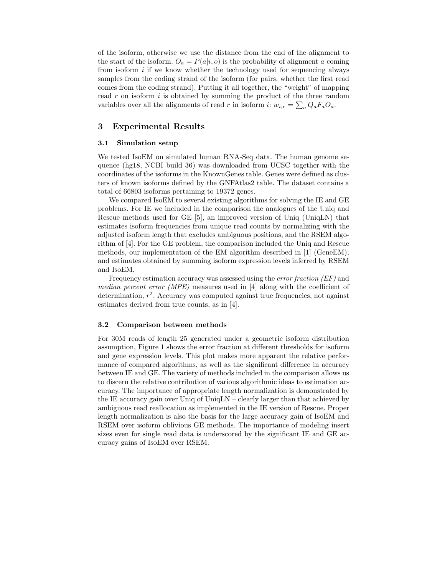of the isoform, otherwise we use the distance from the end of the alignment to the start of the isoform.  $O_a = P(a|i, o)$  is the probability of alignment a coming from isoform  $i$  if we know whether the technology used for sequencing always samples from the coding strand of the isoform (for pairs, whether the first read comes from the coding strand). Putting it all together, the "weight" of mapping read  $r$  on isoform  $i$  is obtained by summing the product of the three random variables over all the alignments of read r in isoform i:  $w_{i,r} = \sum_a Q_a F_a O_a$ .

### 3 Experimental Results

#### 3.1 Simulation setup

We tested IsoEM on simulated human RNA-Seq data. The human genome sequence (hg18, NCBI build 36) was downloaded from UCSC together with the coordinates of the isoforms in the KnownGenes table. Genes were defined as clusters of known isoforms defined by the GNFAtlas2 table. The dataset contains a total of 66803 isoforms pertaining to 19372 genes.

We compared IsoEM to several existing algorithms for solving the IE and GE problems. For IE we included in the comparison the analogues of the Uniq and Rescue methods used for GE [5], an improved version of Uniq (UniqLN) that estimates isoform frequencies from unique read counts by normalizing with the adjusted isoform length that excludes ambiguous positions, and the RSEM algorithm of [4]. For the GE problem, the comparison included the Uniq and Rescue methods, our implementation of the EM algorithm described in [1] (GeneEM), and estimates obtained by summing isoform expression levels inferred by RSEM and IsoEM.

Frequency estimation accuracy was assessed using the *error fraction* (*EF*) and median percent error (MPE) measures used in [4] along with the coefficient of determination,  $r^2$ . Accuracy was computed against true frequencies, not against estimates derived from true counts, as in [4].

#### 3.2 Comparison between methods

For 30M reads of length 25 generated under a geometric isoform distribution assumption, Figure 1 shows the error fraction at different thresholds for isoform and gene expression levels. This plot makes more apparent the relative performance of compared algorithms, as well as the significant difference in accuracy between IE and GE. The variety of methods included in the comparison allows us to discern the relative contribution of various algorithmic ideas to estimation accuracy. The importance of appropriate length normalization is demonstrated by the IE accuracy gain over Uniq of UniqLN – clearly larger than that achieved by ambiguous read reallocation as implemented in the IE version of Rescue. Proper length normalization is also the basis for the large accuracy gain of IsoEM and RSEM over isoform oblivious GE methods. The importance of modeling insert sizes even for single read data is underscored by the significant IE and GE accuracy gains of IsoEM over RSEM.